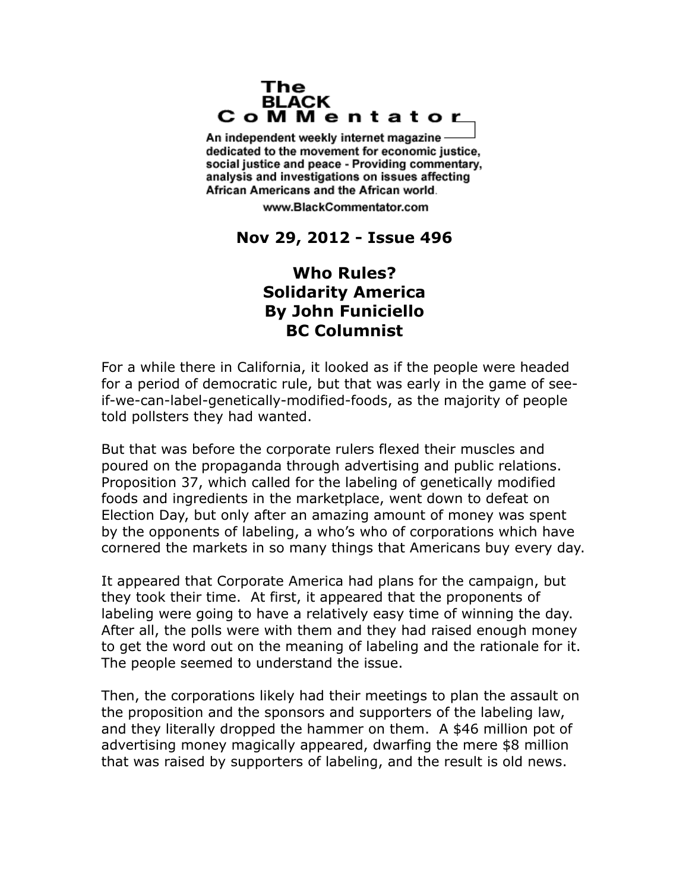## The **BLACK** CoMMentator

An independent weekly internet magazine dedicated to the movement for economic justice. social justice and peace - Providing commentary, analysis and investigations on issues affecting African Americans and the African world.

www.BlackCommentator.com

## **Nov 29, 2012 - Issue 496**

## **Who Rules? Solidarity America By John Funiciello BC Columnist**

For a while there in California, it looked as if the people were headed for a period of democratic rule, but that was early in the game of seeif-we-can-label-genetically-modified-foods, as the majority of people told pollsters they had wanted.

But that was before the corporate rulers flexed their muscles and poured on the propaganda through advertising and public relations. Proposition 37, which called for the labeling of genetically modified foods and ingredients in the marketplace, went down to defeat on Election Day, but only after an amazing amount of money was spent by the opponents of labeling, a who's who of corporations which have cornered the markets in so many things that Americans buy every day.

It appeared that Corporate America had plans for the campaign, but they took their time. At first, it appeared that the proponents of labeling were going to have a relatively easy time of winning the day. After all, the polls were with them and they had raised enough money to get the word out on the meaning of labeling and the rationale for it. The people seemed to understand the issue.

Then, the corporations likely had their meetings to plan the assault on the proposition and the sponsors and supporters of the labeling law, and they literally dropped the hammer on them. A \$46 million pot of advertising money magically appeared, dwarfing the mere \$8 million that was raised by supporters of labeling, and the result is old news.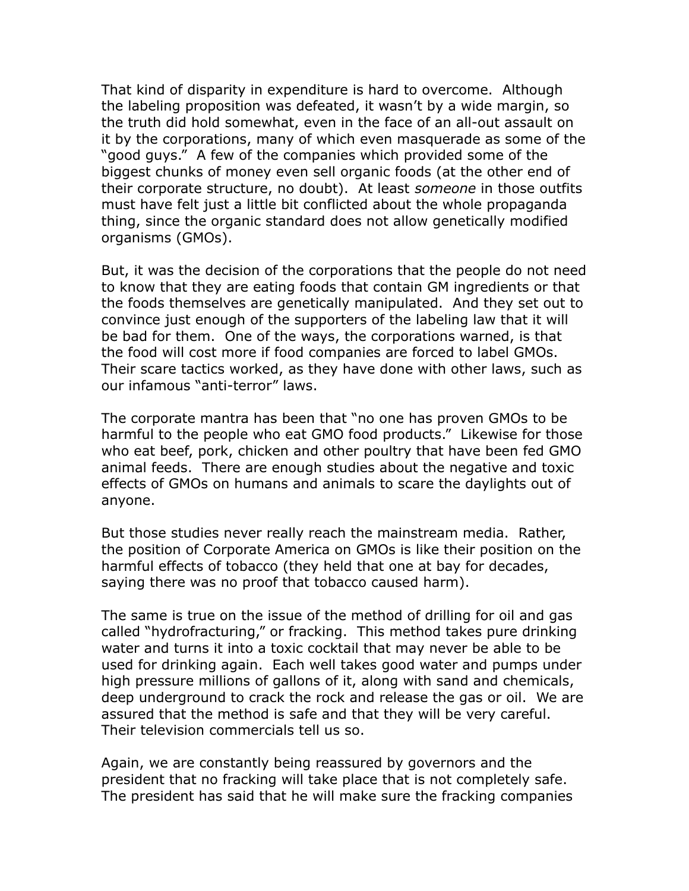That kind of disparity in expenditure is hard to overcome. Although the labeling proposition was defeated, it wasn't by a wide margin, so the truth did hold somewhat, even in the face of an all-out assault on it by the corporations, many of which even masquerade as some of the "good guys." A few of the companies which provided some of the biggest chunks of money even sell organic foods (at the other end of their corporate structure, no doubt). At least *someone* in those outfits must have felt just a little bit conflicted about the whole propaganda thing, since the organic standard does not allow genetically modified organisms (GMOs).

But, it was the decision of the corporations that the people do not need to know that they are eating foods that contain GM ingredients or that the foods themselves are genetically manipulated. And they set out to convince just enough of the supporters of the labeling law that it will be bad for them. One of the ways, the corporations warned, is that the food will cost more if food companies are forced to label GMOs. Their scare tactics worked, as they have done with other laws, such as our infamous "anti-terror" laws.

The corporate mantra has been that "no one has proven GMOs to be harmful to the people who eat GMO food products." Likewise for those who eat beef, pork, chicken and other poultry that have been fed GMO animal feeds. There are enough studies about the negative and toxic effects of GMOs on humans and animals to scare the daylights out of anyone.

But those studies never really reach the mainstream media. Rather, the position of Corporate America on GMOs is like their position on the harmful effects of tobacco (they held that one at bay for decades, saying there was no proof that tobacco caused harm).

The same is true on the issue of the method of drilling for oil and gas called "hydrofracturing," or fracking. This method takes pure drinking water and turns it into a toxic cocktail that may never be able to be used for drinking again. Each well takes good water and pumps under high pressure millions of gallons of it, along with sand and chemicals, deep underground to crack the rock and release the gas or oil. We are assured that the method is safe and that they will be very careful. Their television commercials tell us so.

Again, we are constantly being reassured by governors and the president that no fracking will take place that is not completely safe. The president has said that he will make sure the fracking companies